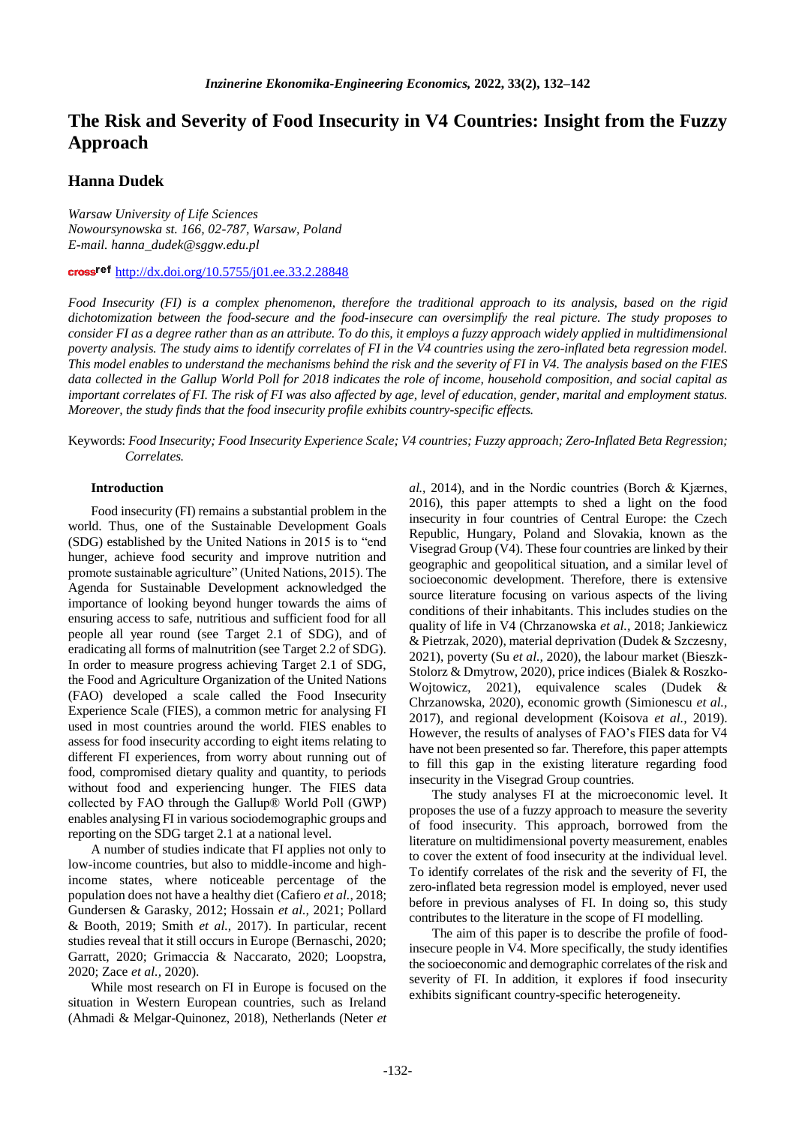# **The Risk and Severity of Food Insecurity in V4 Countries: Insight from the Fuzzy Approach**

# **Hanna Dudek**

*Warsaw University of Life Sciences Nowoursynowska st. 166, 02-787, Warsaw, Poland E-mail. hanna\_dudek@sggw.edu.pl*

cross<sup>ref</sup> <http://dx.doi.org/10.5755/j01.ee.33.2.28848>

*Food Insecurity (FI) is a complex phenomenon, therefore the traditional approach to its analysis, based on the rigid dichotomization between the food-secure and the food-insecure can oversimplify the real picture. The study proposes to consider FI as a degree rather than as an attribute. To do this, it employs a fuzzy approach widely applied in multidimensional poverty analysis. The study aims to identify correlates of FI in the V4 countries using the zero-inflated beta regression model. This model enables to understand the mechanisms behind the risk and the severity of FI in V4. The analysis based on the FIES data collected in the Gallup World Poll for 2018 indicates the role of income, household composition, and social capital as important correlates of FI. The risk of FI was also affected by age, level of education, gender, marital and employment status. Moreover, the study finds that the food insecurity profile exhibits country-specific effects.*

Keywords: *Food Insecurity; Food Insecurity Experience Scale; V4 countries; Fuzzy approach; Zero-Inflated Beta Regression; Correlates.*

### **Introduction**

Food insecurity (FI) remains a substantial problem in the world. Thus, one of the Sustainable Development Goals (SDG) established by the United Nations in 2015 is to "end hunger, achieve food security and improve nutrition and promote sustainable agriculture" (United Nations, 2015). The Agenda for Sustainable Development acknowledged the importance of looking beyond hunger towards the aims of ensuring access to safe, nutritious and sufficient food for all people all year round (see Target 2.1 of SDG), and of eradicating all forms of malnutrition (see Target 2.2 of SDG). In order to measure progress achieving Target 2.1 of SDG, the Food and Agriculture Organization of the United Nations (FAO) developed a scale called the Food Insecurity Experience Scale (FIES), a common metric for analysing FI used in most countries around the world. FIES enables to assess for food insecurity according to eight items relating to different FI experiences, from worry about running out of food, compromised dietary quality and quantity, to periods without food and experiencing hunger. The FIES data collected by FAO through the Gallup® World Poll (GWP) enables analysing FI in various sociodemographic groups and reporting on the SDG target 2.1 at a national level.

A number of studies indicate that FI applies not only to low-income countries, but also to middle-income and highincome states, where noticeable percentage of the population does not have a healthy diet (Cafiero *et al.,* 2018; Gundersen & Garasky, 2012; Hossain *et al.,* 2021; Pollard & Booth, 2019; Smith *et al.,* 2017). In particular, recent studies reveal that it still occurs in Europe (Bernaschi, 2020; Garratt, 2020; Grimaccia & Naccarato, 2020; Loopstra, 2020; Zace *et al.,* 2020).

While most research on FI in Europe is focused on the situation in Western European countries, such as Ireland (Ahmadi & Melgar-Quinonez, 2018), Netherlands (Neter *et* *al.,* 2014), and in the Nordic countries (Borch & Kjærnes, 2016), this paper attempts to shed a light on the food insecurity in four countries of Central Europe: the Czech Republic, Hungary, Poland and Slovakia, known as the Visegrad Group (V4). These four countries are linked by their geographic and geopolitical situation, and a similar level of socioeconomic development. Therefore, there is extensive source literature focusing on various aspects of the living conditions of their inhabitants. This includes studies on the quality of life in V4 (Chrzanowska *et al.,* 2018; Jankiewicz & Pietrzak, 2020), material deprivation (Dudek & Szczesny, 2021), poverty (Su *et al.,* 2020), the labour market (Bieszk-Stolorz & Dmytrow, 2020), price indices (Bialek & Roszko-Wojtowicz, 2021), equivalence scales (Dudek & Chrzanowska, 2020), economic growth (Simionescu *et al.,* 2017), and regional development (Koisova *et al.,* 2019). However, the results of analyses of FAO's FIES data for V4 have not been presented so far. Therefore, this paper attempts to fill this gap in the existing literature regarding food insecurity in the Visegrad Group countries.

The study analyses FI at the microeconomic level. It proposes the use of a fuzzy approach to measure the severity of food insecurity. This approach, borrowed from the literature on multidimensional poverty measurement, enables to cover the extent of food insecurity at the individual level. To identify correlates of the risk and the severity of FI, the zero-inflated beta regression model is employed, never used before in previous analyses of FI. In doing so, this study contributes to the literature in the scope of FI modelling.

The aim of this paper is to describe the profile of foodinsecure people in V4. More specifically, the study identifies the socioeconomic and demographic correlates of the risk and severity of FI. In addition, it explores if food insecurity exhibits significant country-specific heterogeneity.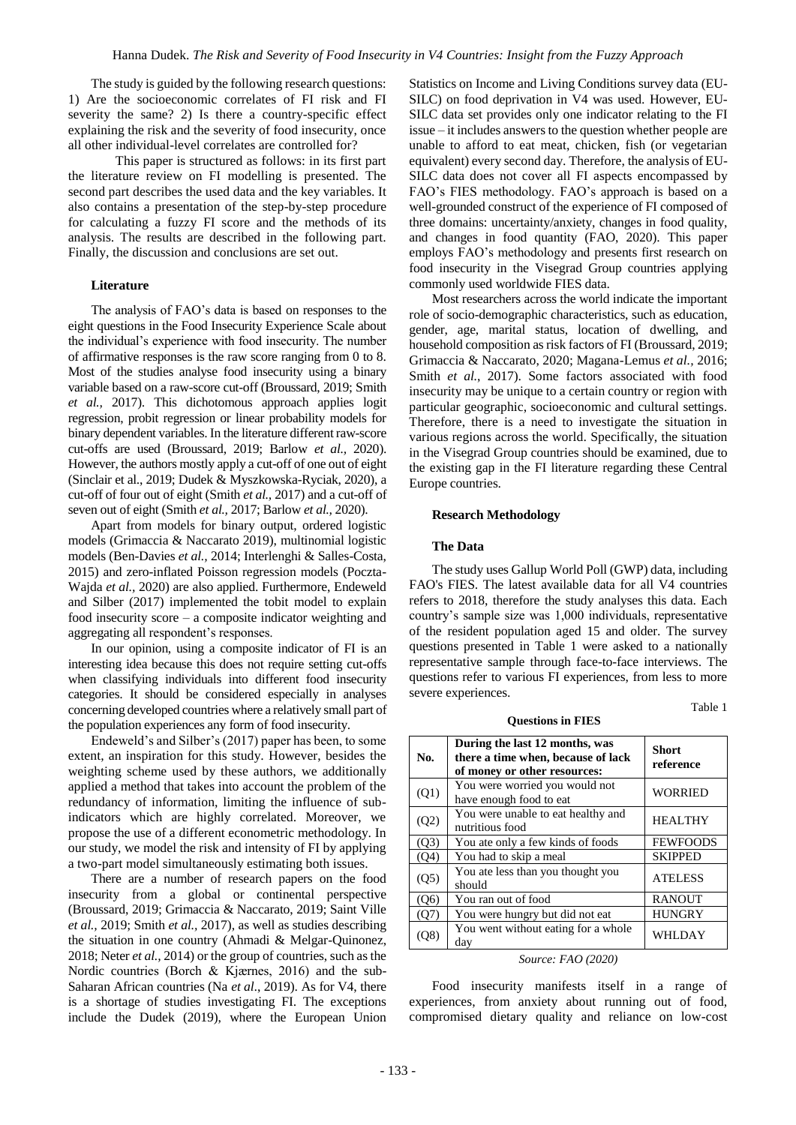The study is guided by the following research questions: 1) Are the socioeconomic correlates of FI risk and FI severity the same? 2) Is there a country-specific effect explaining the risk and the severity of food insecurity, once all other individual-level correlates are controlled for?

This paper is structured as follows: in its first part the literature review on FI modelling is presented. The second part describes the used data and the key variables. It also contains a presentation of the step-by-step procedure for calculating a fuzzy FI score and the methods of its analysis. The results are described in the following part. Finally, the discussion and conclusions are set out.

# **Literature**

The analysis of FAO's data is based on responses to the eight questions in the Food Insecurity Experience Scale about the individual's experience with food insecurity. The number of affirmative responses is the raw score ranging from 0 to 8. Most of the studies analyse food insecurity using a binary variable based on a raw-score cut-off (Broussard, 2019; Smith *et al.,* 2017). This dichotomous approach applies logit regression, probit regression or linear probability models for binary dependent variables. In the literature different raw-score cut-offs are used (Broussard, 2019; Barlow *et al.,* 2020). However, the authors mostly apply a cut-off of one out of eight (Sinclair et al., 2019; Dudek & Myszkowska-Ryciak, 2020), a cut-off of four out of eight (Smith *et al.,* 2017) and a cut-off of seven out of eight (Smith *et al.,* 2017; Barlow *et al.,* 2020).

Apart from models for binary output, ordered logistic models (Grimaccia & Naccarato 2019), multinomial logistic models (Ben-Davies *et al.,* 2014; Interlenghi & Salles-Costa, 2015) and zero-inflated Poisson regression models (Poczta-Wajda *et al.,* 2020) are also applied. Furthermore, Endeweld and Silber (2017) implemented the tobit model to explain food insecurity score – a composite indicator weighting and aggregating all respondent's responses.

In our opinion, using a composite indicator of FI is an interesting idea because this does not require setting cut-offs when classifying individuals into different food insecurity categories. It should be considered especially in analyses concerning developed countries where a relatively small part of the population experiences any form of food insecurity.

Endeweld's and Silber's (2017) paper has been, to some extent, an inspiration for this study. However, besides the weighting scheme used by these authors, we additionally applied a method that takes into account the problem of the redundancy of information, limiting the influence of subindicators which are highly correlated. Moreover, we propose the use of a different econometric methodology. In our study, we model the risk and intensity of FI by applying a two-part model simultaneously estimating both issues.

There are a number of research papers on the food insecurity from a global or continental perspective (Broussard, 2019; Grimaccia & Naccarato, 2019; Saint Ville *et al.,* 2019; Smith *et al.,* 2017), as well as studies describing the situation in one country (Ahmadi & Melgar-Quinonez, 2018; Neter *et al.,* 2014) or the group of countries, such as the Nordic countries (Borch & Kjærnes, 2016) and the sub-Saharan African countries (Na *et al*., 2019). As for V4, there is a shortage of studies investigating FI. The exceptions include the Dudek (2019), where the European Union Statistics on Income and Living Conditions survey data (EU-SILC) on food deprivation in V4 was used. However, EU-SILC data set provides only one indicator relating to the FI issue – it includes answers to the question whether people are unable to afford to eat meat, chicken, fish (or vegetarian equivalent) every second day. Therefore, the analysis of EU-SILC data does not cover all FI aspects encompassed by FAO's FIES methodology. FAO's approach is based on a well-grounded construct of the experience of FI composed of three domains: uncertainty/anxiety, changes in food quality, and changes in food quantity (FAO, 2020). This paper employs FAO's methodology and presents first research on food insecurity in the Visegrad Group countries applying commonly used worldwide FIES data.

Most researchers across the world indicate the important role of socio-demographic characteristics, such as education, gender, age, marital status, location of dwelling, and household composition as risk factors of FI (Broussard, 2019; Grimaccia & Naccarato, 2020; Magana-Lemus *et al.,* 2016; Smith *et al.*, 2017). Some factors associated with food insecurity may be unique to a certain country or region with particular geographic, socioeconomic and cultural settings. Therefore, there is a need to investigate the situation in various regions across the world. Specifically, the situation in the Visegrad Group countries should be examined, due to the existing gap in the FI literature regarding these Central Europe countries.

#### **Research Methodology**

#### **The Data**

The study uses Gallup World Poll (GWP) data, including FAO's FIES. The latest available data for all V4 countries refers to 2018, therefore the study analyses this data. Each country's sample size was 1,000 individuals, representative of the resident population aged 15 and older. The survey questions presented in Table 1 were asked to a nationally representative sample through face-to-face interviews. The questions refer to various FI experiences, from less to more severe experiences.

Table 1

| <b>Ouestions in FIES</b> |                                                                                                      |                           |  |  |  |  |  |
|--------------------------|------------------------------------------------------------------------------------------------------|---------------------------|--|--|--|--|--|
| No.                      | During the last 12 months, was<br>there a time when, because of lack<br>of money or other resources: | <b>Short</b><br>reference |  |  |  |  |  |
| (Q1)                     | You were worried you would not<br>have enough food to eat                                            | <b>WORRIED</b>            |  |  |  |  |  |
| (Q2)                     | You were unable to eat healthy and<br>nutritious food                                                | <b>HEALTHY</b>            |  |  |  |  |  |
| (O3)                     | You ate only a few kinds of foods                                                                    | <b>FEWFOODS</b>           |  |  |  |  |  |
| (Q4)                     | You had to skip a meal                                                                               | <b>SKIPPED</b>            |  |  |  |  |  |
| (Q5)                     | You ate less than you thought you<br>should                                                          | <b>ATELESS</b>            |  |  |  |  |  |
| $($ O <sub>6</sub> $)$   | You ran out of food                                                                                  | <b>RANOUT</b>             |  |  |  |  |  |
| (Q7)                     | You were hungry but did not eat                                                                      | <b>HUNGRY</b>             |  |  |  |  |  |
| Э8`                      | You went without eating for a whole<br>day                                                           | WHLDAY                    |  |  |  |  |  |

# *Source: FAO (2020)*

Food insecurity manifests itself in a range of experiences, from anxiety about running out of food, compromised dietary quality and reliance on low-cost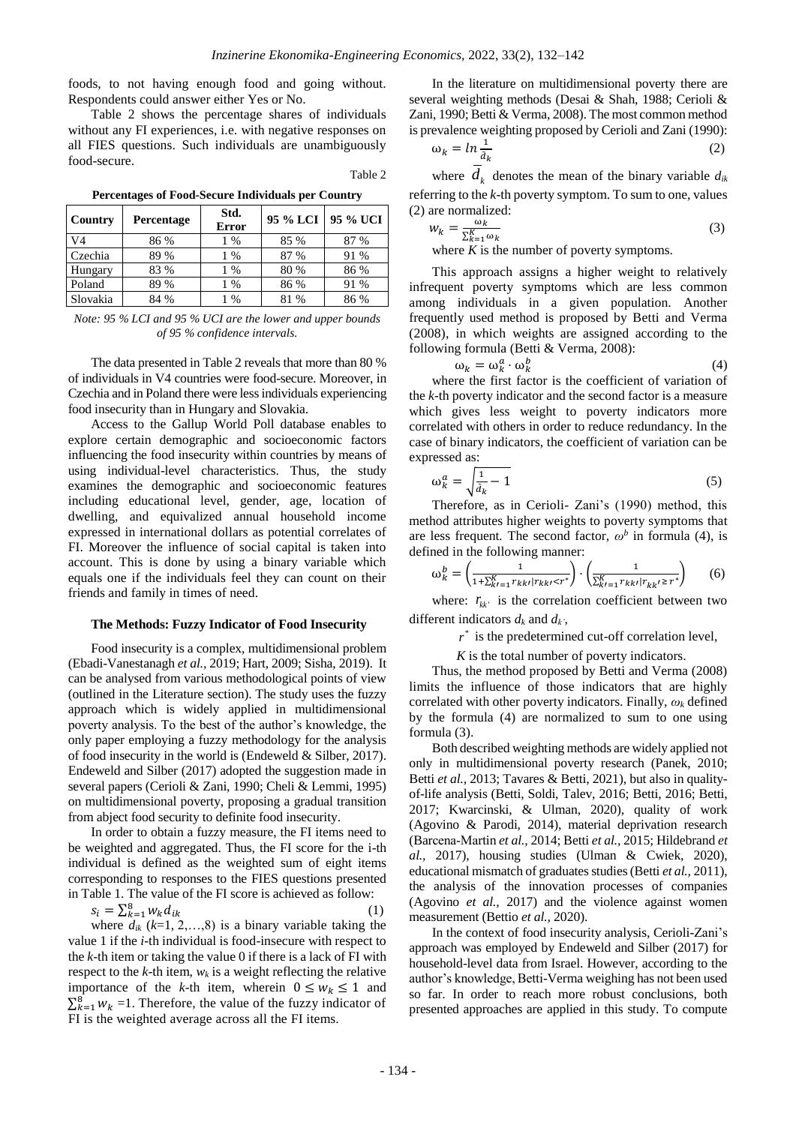foods, to not having enough food and going without. Respondents could answer either Yes or No.

Table 2 shows the percentage shares of individuals without any FI experiences, i.e. with negative responses on all FIES questions. Such individuals are unambiguously food-secure.

Table 2

| Country  | Percentage | Std.<br><b>Error</b> | 95 % LCI | 95 % UCI |
|----------|------------|----------------------|----------|----------|
| V4       | 86 %       | 1 %                  | 85 %     | 87 %     |
| Czechia  | 89 %       | 1 %                  | 87 %     | 91 %     |
| Hungary  | 83 %       | 1 %                  | 80 %     | 86 %     |
| Poland   | 89 %       | 1 %                  | 86 %     | 91 %     |
| Slovakia | 84 %       | $\%$                 | 81 %     | 86 %     |

**Percentages of Food-Secure Individuals per Country**

*Note: 95 % LCI and 95 % UCI are the lower and upper bounds of 95 % confidence intervals.*

The data presented in Table 2 reveals that more than 80 % of individuals in V4 countries were food-secure. Moreover, in Czechia and in Poland there were less individuals experiencing food insecurity than in Hungary and Slovakia.

Access to the Gallup World Poll database enables to explore certain demographic and socioeconomic factors influencing the food insecurity within countries by means of using individual-level characteristics. Thus, the study examines the demographic and socioeconomic features including educational level, gender, age, location of dwelling, and equivalized annual household income expressed in international dollars as potential correlates of FI. Moreover the influence of social capital is taken into account. This is done by using a binary variable which equals one if the individuals feel they can count on their friends and family in times of need.

#### **The Methods: Fuzzy Indicator of Food Insecurity**

Food insecurity is a complex, multidimensional problem (Ebadi-Vanestanagh *et al.,* 2019; Hart, 2009; Sisha, 2019). It can be analysed from various methodological points of view (outlined in the Literature section). The study uses the fuzzy approach which is widely applied in multidimensional poverty analysis. To the best of the author's knowledge, the only paper employing a fuzzy methodology for the analysis of food insecurity in the world is (Endeweld & Silber, 2017). Endeweld and Silber (2017) adopted the suggestion made in several papers (Cerioli & Zani, 1990; Cheli & Lemmi, 1995) on multidimensional poverty, proposing a gradual transition from abject food security to definite food insecurity.

In order to obtain a fuzzy measure, the FI items need to be weighted and aggregated. Thus, the FI score for the i-th individual is defined as the weighted sum of eight items corresponding to responses to the FIES questions presented in Table 1. The value of the FI score is achieved as follow:

$$
s_i = \sum_{k=1}^{8} w_k d_{ik} \tag{1}
$$

 $s_i - \sum_{k=1}^{\infty} w_k u_{ik}$  (1)<br>where  $d_{ik}$  (*k*=1, 2,...,8) is a binary variable taking the value 1 if the *i*-th individual is food-insecure with respect to the *k*-th item or taking the value 0 if there is a lack of FI with respect to the  $k$ -th item,  $w_k$  is a weight reflecting the relative importance of the *k*-th item, wherein  $0 \leq w_k \leq 1$  and  $\sum_{k=1}^{8} w_k = 1$ . Therefore, the value of the fuzzy indicator of FI is the weighted average across all the FI items.

In the literature on multidimensional poverty there are several weighting methods (Desai & Shah, 1988; Cerioli & Zani, 1990; Betti & Verma, 2008). The most common method is prevalence weighting proposed by Cerioli and Zani (1990):

$$
\omega_k = \ln \frac{1}{d_k} \tag{2}
$$

where  $d_k$  denotes the mean of the binary variable  $d_{ik}$ referring to the *k*-th poverty symptom. To sum to one, values (2) are normalized:

$$
w_k = \frac{\omega_k}{\sum_{k=1}^{K} \omega_k}
$$
 (3)  
where *K* is the number of novertv symptoms

where *K* is the number of poverty symptoms.

This approach assigns a higher weight to relatively infrequent poverty symptoms which are less common among individuals in a given population. Another frequently used method is proposed by Betti and Verma (2008), in which weights are assigned according to the following formula (Betti & Verma, 2008):

$$
\omega_k = \omega_k^a \cdot \omega_k^b \tag{4}
$$

where the first factor is the coefficient of variation of the *k*-th poverty indicator and the second factor is a measure which gives less weight to poverty indicators more correlated with others in order to reduce redundancy. In the case of binary indicators, the coefficient of variation can be expressed as:

$$
\omega_k^a = \sqrt{\frac{1}{\bar{a}_k} - 1} \tag{5}
$$

Therefore, as in Cerioli- Zani's (1990) method, this method attributes higher weights to poverty symptoms that are less frequent. The second factor,  $\omega^b$  in formula (4), is defined in the following manner:

$$
\omega_k^b = \left(\frac{1}{1 + \sum_{k=1}^K r_{k k} |r_{k k'}| + r_{k k'}}\right) \cdot \left(\frac{1}{\sum_{k=1}^K r_{k k} |r_{k k'}| + r_{k k'}}\right) \tag{6}
$$

where:  $r_{kk'}$  is the correlation coefficient between two different indicators  $d_k$  and  $d_k$ <sup>'</sup>,

 $r^*$  is the predetermined cut-off correlation level,

*K* is the total number of poverty indicators.

Thus, the method proposed by Betti and Verma (2008) limits the influence of those indicators that are highly correlated with other poverty indicators. Finally, *ω<sup>k</sup>* defined by the formula (4) are normalized to sum to one using formula (3).

Both described weighting methods are widely applied not only in multidimensional poverty research (Panek, 2010; Betti *et al.,* 2013; Tavares & Betti, 2021), but also in qualityof-life analysis (Betti, Soldi, Talev, 2016; Betti, 2016; Betti, 2017; Kwarcinski, & Ulman, 2020), quality of work (Agovino & Parodi, 2014), material deprivation research (Barcena‐Martin *et al.,* 2014; Betti *et al.,* 2015; Hildebrand *et al.,* 2017), housing studies (Ulman & Cwiek, 2020), educational mismatch of graduates studies (Betti *et al.,* 2011), the analysis of the innovation processes of companies (Agovino *et al.,* 2017) and the violence against women measurement (Bettio *et al.,* 2020).

In the context of food insecurity analysis, Cerioli-Zani's approach was employed by Endeweld and Silber (2017) for household-level data from Israel. However, according to the author's knowledge, Betti-Verma weighing has not been used so far. In order to reach more robust conclusions, both presented approaches are applied in this study. To compute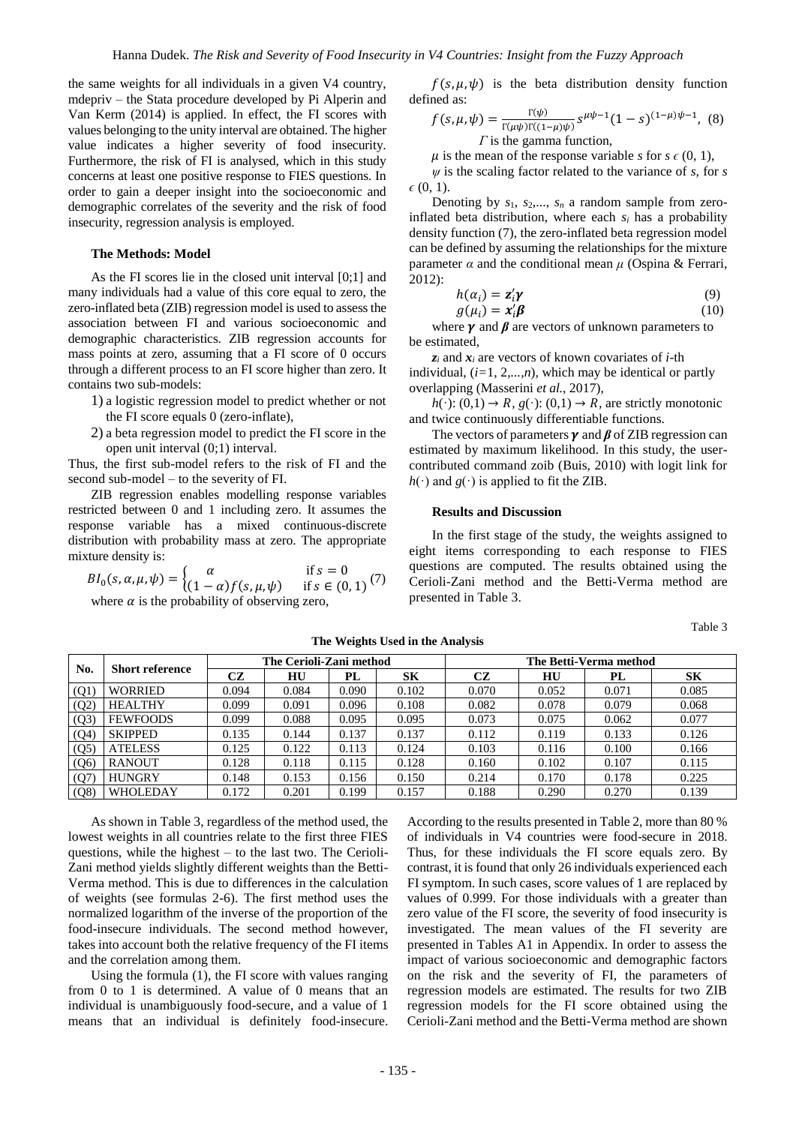the same weights for all individuals in a given V4 country, mdepriv – the Stata procedure developed by Pi Alperin and Van Kerm (2014) is applied. In effect, the FI scores with values belonging to the unity interval are obtained. The higher value indicates a higher severity of food insecurity. Furthermore, the risk of FI is analysed, which in this study concerns at least one positive response to FIES questions. In order to gain a deeper insight into the socioeconomic and demographic correlates of the severity and the risk of food insecurity, regression analysis is employed.

#### **The Methods: Model**

As the FI scores lie in the closed unit interval [0;1] and many individuals had a value of this core equal to zero, the zero-inflated beta (ZIB) regression model is used to assess the association between FI and various socioeconomic and demographic characteristics. ZIB regression accounts for mass points at zero, assuming that a FI score of 0 occurs through a different process to an FI score higher than zero. It contains two sub-models:

- 1) a logistic regression model to predict whether or not the FI score equals 0 (zero-inflate),
- 2) a beta regression model to predict the FI score in the open unit interval (0;1) interval.

Thus, the first sub-model refers to the risk of FI and the second sub-model – to the severity of FI.

ZIB regression enables modelling response variables restricted between 0 and 1 including zero. It assumes the response variable has a mixed continuous-discrete distribution with probability mass at zero. The appropriate mixture density is:

$$
BI_0(s, \alpha, \mu, \psi) = \begin{cases} \alpha & \text{if } s = 0\\ (1 - \alpha)f(s, \mu, \psi) & \text{if } s \in (0, 1) \end{cases}
$$
where  $\alpha$  is the probability of observing zero

where  $\alpha$  is the probability of observing zero,

 $f(s, \mu, \psi)$  is the beta distribution density function defined as:

$$
f(s, \mu, \psi) = \frac{\Gamma(\psi)}{\Gamma(\mu\psi)\Gamma((1-\mu)\psi)} s^{\mu\psi - 1} (1 - s)^{(1-\mu)\psi - 1}, \tag{8}
$$
  
\n*\Gamma* is the gamma function,

 $\mu$  is the mean of the response variable *s* for *s*  $\epsilon$  (0, 1),

*ψ* is the scaling factor related to the variance of *s,* for *s*   $\epsilon$  (0, 1).

Denoting by *s*1, *s*2,..., *s<sup>n</sup>* a random sample from zeroinflated beta distribution, where each  $s_i$  has a probability density function (7), the zero-inflated beta regression model can be defined by assuming the relationships for the mixture parameter  $\alpha$  and the conditional mean  $\mu$  (Ospina & Ferrari, 2012):

$$
h(\alpha_i) = \mathbf{z}_i' \mathbf{y}
$$
  
 
$$
g(\mu_i) = \mathbf{x}_i' \mathbf{\beta}
$$
 (9)

where  $\gamma$  and  $\beta$  are vectors of unknown parameters to be estimated,

 $z_i$  and  $x_i$  are vectors of known covariates of *i*-th individual, (*i=*1, 2*,...,n*)*,* which may be identical or partly overlapping (Masserini *et al.*, 2017),

 $h(\cdot)$ : (0,1)  $\rightarrow R$ ,  $g(\cdot)$ : (0,1)  $\rightarrow R$ , are strictly monotonic and twice continuously differentiable functions.

The vectors of parameters  $\gamma$  and  $\beta$  of ZIB regression can estimated by maximum likelihood. In this study, the usercontributed command zoib (Buis, 2010) with logit link for  $h(\cdot)$  and  $g(\cdot)$  is applied to fit the ZIB.

#### **Results and Discussion**

In the first stage of the study, the weights assigned to eight items corresponding to each response to FIES questions are computed. The results obtained using the Cerioli-Zani method and the Betti-Verma method are presented in Table 3.

Table 3

| No.  | <b>Short reference</b> | The Cerioli-Zani method |       |       |       | The Betti-Verma method |       |       |       |
|------|------------------------|-------------------------|-------|-------|-------|------------------------|-------|-------|-------|
|      |                        | CZ                      | HU    | PL    | SK    | CZ                     | HU    | PL    | SK    |
| (Q1) | <b>WORRIED</b>         | 0.094                   | 0.084 | 0.090 | 0.102 | 0.070                  | 0.052 | 0.071 | 0.085 |
| (Q2) | <b>HEALTHY</b>         | 0.099                   | 0.091 | 0.096 | 0.108 | 0.082                  | 0.078 | 0.079 | 0.068 |
| (Q3) | <b>FEWFOODS</b>        | 0.099                   | 0.088 | 0.095 | 0.095 | 0.073                  | 0.075 | 0.062 | 0.077 |
| (Q4) | <b>SKIPPED</b>         | 0.135                   | 0.144 | 0.137 | 0.137 | 0.112                  | 0.119 | 0.133 | 0.126 |
| (Q5) | <b>ATELESS</b>         | 0.125                   | 0.122 | 0.113 | 0.124 | 0.103                  | 0.116 | 0.100 | 0.166 |
| (Q6) | <b>RANOUT</b>          | 0.128                   | 0.118 | 0.115 | 0.128 | 0.160                  | 0.102 | 0.107 | 0.115 |
| (Q7) | <b>HUNGRY</b>          | 0.148                   | 0.153 | 0.156 | 0.150 | 0.214                  | 0.170 | 0.178 | 0.225 |
| (Q8) | WHOLEDAY               | 0.172                   | 0.201 | 0.199 | 0.157 | 0.188                  | 0.290 | 0.270 | 0.139 |

**The Weights Used in the Analysis**

As shown in Table 3, regardless of the method used, the lowest weights in all countries relate to the first three FIES questions, while the highest – to the last two. The Cerioli-Zani method yields slightly different weights than the Betti-Verma method. This is due to differences in the calculation of weights (see formulas 2-6). The first method uses the normalized logarithm of the inverse of the proportion of the food-insecure individuals. The second method however, takes into account both the relative frequency of the FI items and the correlation among them.

Using the formula (1), the FI score with values ranging from 0 to 1 is determined. A value of 0 means that an individual is unambiguously food-secure, and a value of 1 means that an individual is definitely food-insecure.

According to the results presented in Table 2, more than 80 % of individuals in V4 countries were food-secure in 2018. Thus, for these individuals the FI score equals zero. By contrast, it is found that only 26 individuals experienced each FI symptom. In such cases, score values of 1 are replaced by values of 0.999. For those individuals with a greater than zero value of the FI score, the severity of food insecurity is investigated. The mean values of the FI severity are presented in Tables A1 in Appendix. In order to assess the impact of various socioeconomic and demographic factors on the risk and the severity of FI, the parameters of regression models are estimated. The results for two ZIB regression models for the FI score obtained using the Cerioli-Zani method and the Betti-Verma method are shown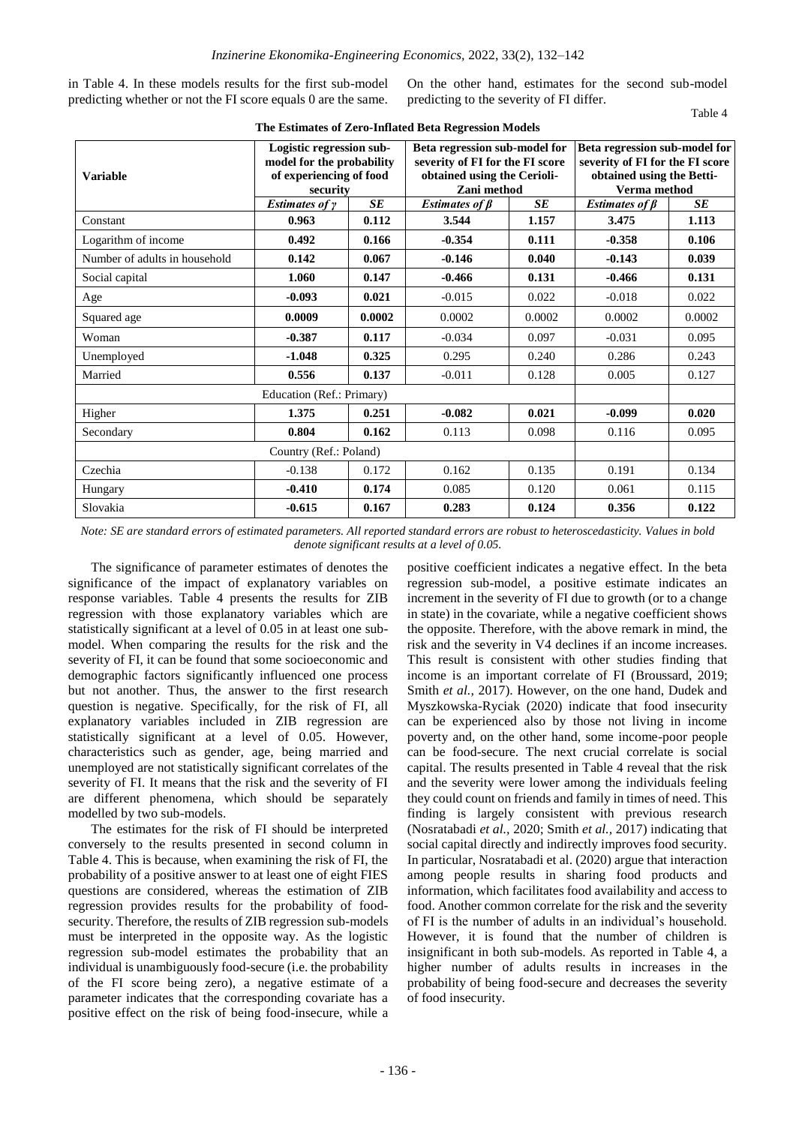in Table 4. In these models results for the first sub-model predicting whether or not the FI score equals 0 are the same.

On the other hand, estimates for the second sub-model predicting to the severity of FI differ. Table 4

| <b>Variable</b>               | Logistic regression sub-<br>model for the probability<br>of experiencing of food<br>security<br>Estimates of $\gamma$<br><b>SE</b> |        | Beta regression sub-model for<br>severity of FI for the FI score<br>obtained using the Cerioli-<br>Zani method<br><b>SE</b><br>Estimates of $\beta$ |        | Beta regression sub-model for<br>severity of FI for the FI score<br>obtained using the Betti-<br>Verma method<br>Estimates of $\beta$<br>SE |        |  |
|-------------------------------|------------------------------------------------------------------------------------------------------------------------------------|--------|-----------------------------------------------------------------------------------------------------------------------------------------------------|--------|---------------------------------------------------------------------------------------------------------------------------------------------|--------|--|
| Constant                      | 0.963                                                                                                                              | 0.112  | 3.544                                                                                                                                               | 1.157  | 3.475                                                                                                                                       | 1.113  |  |
| Logarithm of income           | 0.492                                                                                                                              | 0.166  | $-0.354$                                                                                                                                            | 0.111  | $-0.358$                                                                                                                                    | 0.106  |  |
| Number of adults in household | 0.142                                                                                                                              | 0.067  | $-0.146$                                                                                                                                            | 0.040  | $-0.143$                                                                                                                                    | 0.039  |  |
| Social capital                | 1.060                                                                                                                              | 0.147  | $-0.466$                                                                                                                                            | 0.131  | $-0.466$                                                                                                                                    | 0.131  |  |
| Age                           | $-0.093$                                                                                                                           | 0.021  | $-0.015$                                                                                                                                            | 0.022  | $-0.018$                                                                                                                                    | 0.022  |  |
| Squared age                   | 0.0009                                                                                                                             | 0.0002 | 0.0002                                                                                                                                              | 0.0002 | 0.0002                                                                                                                                      | 0.0002 |  |
| Woman                         | $-0.387$                                                                                                                           | 0.117  | $-0.034$                                                                                                                                            | 0.097  | $-0.031$                                                                                                                                    | 0.095  |  |
| Unemployed                    | $-1.048$                                                                                                                           | 0.325  | 0.295                                                                                                                                               | 0.240  | 0.286                                                                                                                                       | 0.243  |  |
| Married                       | 0.556                                                                                                                              | 0.137  | $-0.011$                                                                                                                                            | 0.128  | 0.005                                                                                                                                       | 0.127  |  |
|                               | Education (Ref.: Primary)                                                                                                          |        |                                                                                                                                                     |        |                                                                                                                                             |        |  |
| Higher                        | 1.375                                                                                                                              | 0.251  | $-0.082$                                                                                                                                            | 0.021  | $-0.099$                                                                                                                                    | 0.020  |  |
| Secondary                     | 0.804                                                                                                                              | 0.162  | 0.113                                                                                                                                               | 0.098  | 0.116                                                                                                                                       | 0.095  |  |
| Country (Ref.: Poland)        |                                                                                                                                    |        |                                                                                                                                                     |        |                                                                                                                                             |        |  |
| Czechia                       | $-0.138$                                                                                                                           | 0.172  | 0.162                                                                                                                                               | 0.135  | 0.191                                                                                                                                       | 0.134  |  |
| Hungary                       | $-0.410$                                                                                                                           | 0.174  | 0.085                                                                                                                                               | 0.120  | 0.061                                                                                                                                       | 0.115  |  |
| Slovakia                      | $-0.615$                                                                                                                           | 0.167  | 0.283                                                                                                                                               | 0.124  | 0.356                                                                                                                                       | 0.122  |  |

# **The Estimates of Zero-Inflated Beta Regression Models**

*Note: SE are standard errors of estimated parameters. All reported standard errors are robust to heteroscedasticity. Values in bold denote significant results at a level of 0.05.*

The significance of parameter estimates of denotes the significance of the impact of explanatory variables on response variables. Table 4 presents the results for ZIB regression with those explanatory variables which are statistically significant at a level of 0.05 in at least one submodel. When comparing the results for the risk and the severity of FI, it can be found that some socioeconomic and demographic factors significantly influenced one process but not another. Thus, the answer to the first research question is negative. Specifically, for the risk of FI, all explanatory variables included in ZIB regression are statistically significant at a level of 0.05. However, characteristics such as gender, age, being married and unemployed are not statistically significant correlates of the severity of FI. It means that the risk and the severity of FI are different phenomena, which should be separately modelled by two sub-models.

The estimates for the risk of FI should be interpreted conversely to the results presented in second column in Table 4. This is because, when examining the risk of FI, the probability of a positive answer to at least one of eight FIES questions are considered, whereas the estimation of ZIB regression provides results for the probability of foodsecurity. Therefore, the results of ZIB regression sub-models must be interpreted in the opposite way. As the logistic regression sub-model estimates the probability that an individual is unambiguously food-secure (i.e. the probability of the FI score being zero), a negative estimate of a parameter indicates that the corresponding covariate has a positive effect on the risk of being food-insecure, while a

positive coefficient indicates a negative effect. In the beta regression sub-model, a positive estimate indicates an increment in the severity of FI due to growth (or to a change in state) in the covariate, while a negative coefficient shows the opposite. Therefore, with the above remark in mind, the risk and the severity in V4 declines if an income increases. This result is consistent with other studies finding that income is an important correlate of FI (Broussard, 2019; Smith *et al.,* 2017). However, on the one hand, Dudek and Myszkowska-Ryciak (2020) indicate that food insecurity can be experienced also by those not living in income poverty and, on the other hand, some income-poor people can be food-secure. The next crucial correlate is social capital. The results presented in Table 4 reveal that the risk and the severity were lower among the individuals feeling they could count on friends and family in times of need. This finding is largely consistent with previous research (Nosratabadi *et al.,* 2020; Smith *et al.,* 2017) indicating that social capital directly and indirectly improves food security. In particular, Nosratabadi et al. (2020) argue that interaction among people results in sharing food products and information, which facilitates food availability and access to food. Another common correlate for the risk and the severity of FI is the number of adults in an individual's household. However, it is found that the number of children is insignificant in both sub-models. As reported in Table 4, a higher number of adults results in increases in the probability of being food-secure and decreases the severity of food insecurity.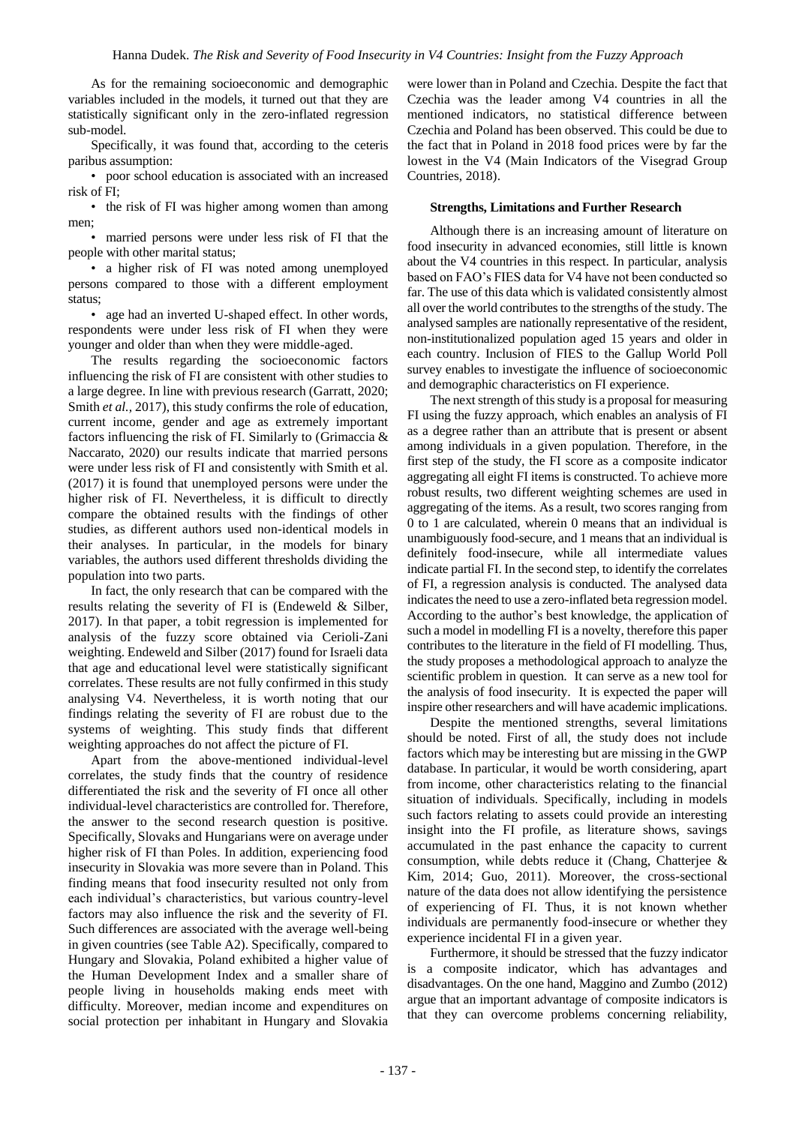As for the remaining socioeconomic and demographic variables included in the models, it turned out that they are statistically significant only in the zero-inflated regression sub-model.

Specifically, it was found that, according to the ceteris paribus assumption:

• poor school education is associated with an increased risk of FI;

• the risk of FI was higher among women than among men;

• married persons were under less risk of FI that the people with other marital status;

• a higher risk of FI was noted among unemployed persons compared to those with a different employment status;

• age had an inverted U-shaped effect. In other words, respondents were under less risk of FI when they were younger and older than when they were middle-aged.

The results regarding the socioeconomic factors influencing the risk of FI are consistent with other studies to a large degree. In line with previous research (Garratt, 2020; Smith *et al.,* 2017), this study confirms the role of education, current income, gender and age as extremely important factors influencing the risk of FI. Similarly to (Grimaccia & Naccarato, 2020) our results indicate that married persons were under less risk of FI and consistently with Smith et al. (2017) it is found that unemployed persons were under the higher risk of FI. Nevertheless, it is difficult to directly compare the obtained results with the findings of other studies, as different authors used non-identical models in their analyses. In particular, in the models for binary variables, the authors used different thresholds dividing the population into two parts.

In fact, the only research that can be compared with the results relating the severity of FI is (Endeweld & Silber, 2017). In that paper, a tobit regression is implemented for analysis of the fuzzy score obtained via Cerioli-Zani weighting. Endeweld and Silber (2017) found for Israeli data that age and educational level were statistically significant correlates. These results are not fully confirmed in this study analysing V4. Nevertheless, it is worth noting that our findings relating the severity of FI are robust due to the systems of weighting. This study finds that different weighting approaches do not affect the picture of FI.

Apart from the above-mentioned individual-level correlates, the study finds that the country of residence differentiated the risk and the severity of FI once all other individual-level characteristics are controlled for. Therefore, the answer to the second research question is positive. Specifically, Slovaks and Hungarians were on average under higher risk of FI than Poles. In addition, experiencing food insecurity in Slovakia was more severe than in Poland. This finding means that food insecurity resulted not only from each individual's characteristics, but various country-level factors may also influence the risk and the severity of FI. Such differences are associated with the average well-being in given countries (see Table A2). Specifically, compared to Hungary and Slovakia, Poland exhibited a higher value of the Human Development Index and a smaller share of people living in households making ends meet with difficulty. Moreover, median income and expenditures on social protection per inhabitant in Hungary and Slovakia

were lower than in Poland and Czechia. Despite the fact that Czechia was the leader among V4 countries in all the mentioned indicators, no statistical difference between Czechia and Poland has been observed. This could be due to the fact that in Poland in 2018 food prices were by far the lowest in the V4 (Main Indicators of the Visegrad Group Countries, 2018).

#### **Strengths, Limitations and Further Research**

Although there is an increasing amount of literature on food insecurity in advanced economies, still little is known about the V4 countries in this respect. In particular, analysis based on FAO's FIES data for V4 have not been conducted so far. The use of this data which is validated consistently almost all over the world contributes to the strengths of the study. The analysed samples are nationally representative of the resident, non-institutionalized population aged 15 years and older in each country. Inclusion of FIES to the Gallup World Poll survey enables to investigate the influence of socioeconomic and demographic characteristics on FI experience.

The next strength of this study is a proposal for measuring FI using the fuzzy approach, which enables an analysis of FI as a degree rather than an attribute that is present or absent among individuals in a given population. Therefore, in the first step of the study, the FI score as a composite indicator aggregating all eight FI items is constructed. To achieve more robust results, two different weighting schemes are used in aggregating of the items. As a result, two scores ranging from 0 to 1 are calculated, wherein 0 means that an individual is unambiguously food-secure, and 1 means that an individual is definitely food-insecure, while all intermediate values indicate partial FI. In the second step, to identify the correlates of FI, a regression analysis is conducted. The analysed data indicates the need to use a zero-inflated beta regression model. According to the author's best knowledge, the application of such a model in modelling FI is a novelty, therefore this paper contributes to the literature in the field of FI modelling. Thus, the study proposes a methodological approach to analyze the scientific problem in question. It can serve as a new tool for the analysis of food insecurity. It is expected the paper will inspire other researchers and will have academic implications.

Despite the mentioned strengths, several limitations should be noted. First of all, the study does not include factors which may be interesting but are missing in the GWP database. In particular, it would be worth considering, apart from income, other characteristics relating to the financial situation of individuals. Specifically, including in models such factors relating to assets could provide an interesting insight into the FI profile, as literature shows, savings accumulated in the past enhance the capacity to current consumption, while debts reduce it (Chang, Chatterjee & Kim, 2014; Guo, 2011). Moreover, the cross-sectional nature of the data does not allow identifying the persistence of experiencing of FI. Thus, it is not known whether individuals are permanently food-insecure or whether they experience incidental FI in a given year.

Furthermore, it should be stressed that the fuzzy indicator is a composite indicator, which has advantages and disadvantages. On the one hand, Maggino and Zumbo (2012) argue that an important advantage of composite indicators is that they can overcome problems concerning reliability,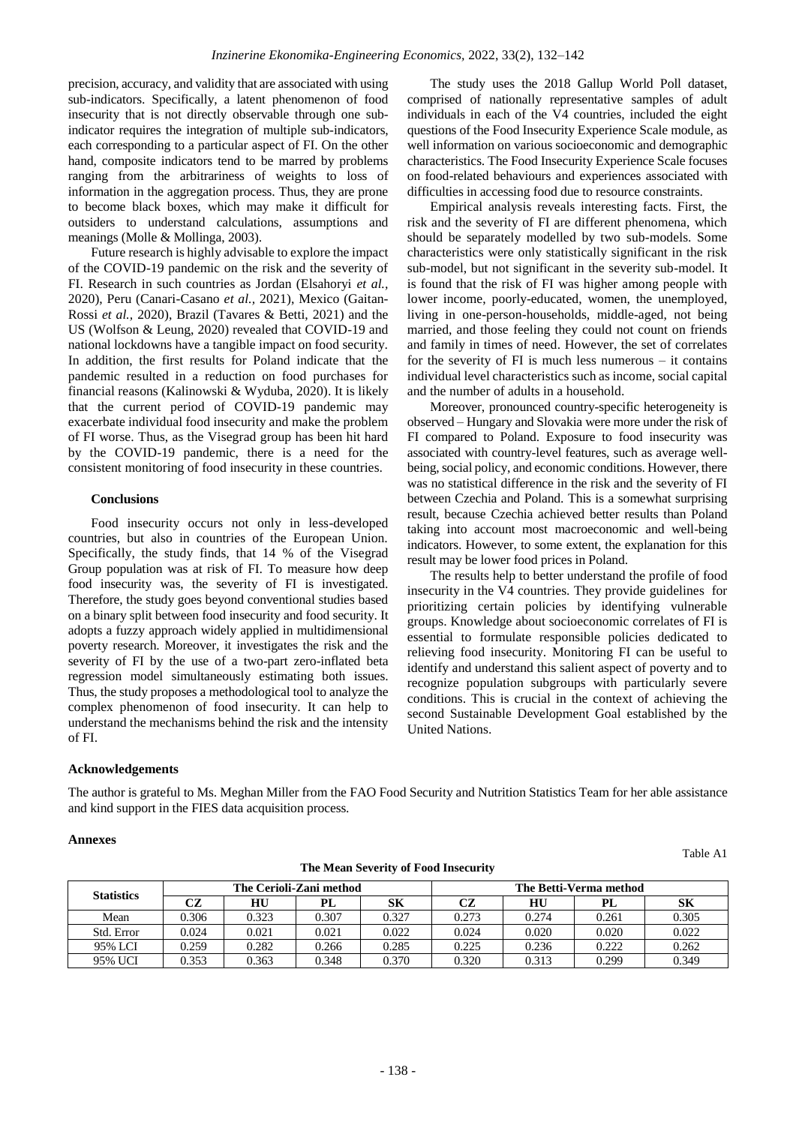precision, accuracy, and validity that are associated with using sub-indicators. Specifically, a latent phenomenon of food insecurity that is not directly observable through one subindicator requires the integration of multiple sub-indicators, each corresponding to a particular aspect of FI. On the other hand, composite indicators tend to be marred by problems ranging from the arbitrariness of weights to loss of information in the aggregation process. Thus, they are prone to become black boxes, which may make it difficult for outsiders to understand calculations, assumptions and meanings (Molle & Mollinga, 2003).

Future research is highly advisable to explore the impact of the COVID-19 pandemic on the risk and the severity of FI. Research in such countries as Jordan (Elsahoryi *et al.,* 2020), Peru (Canari-Casano *et al.,* 2021), Mexico (Gaitan-Rossi *et al.,* 2020), Brazil (Tavares & Betti, 2021) and the US (Wolfson & Leung, 2020) revealed that COVID-19 and national lockdowns have a tangible impact on food security. In addition, the first results for Poland indicate that the pandemic resulted in a reduction on food purchases for financial reasons (Kalinowski & Wyduba, 2020). It is likely that the current period of COVID-19 pandemic may exacerbate individual food insecurity and make the problem of FI worse. Thus, as the Visegrad group has been hit hard by the COVID-19 pandemic, there is a need for the consistent monitoring of food insecurity in these countries.

# **Conclusions**

Food insecurity occurs not only in less-developed countries, but also in countries of the European Union. Specifically, the study finds, that 14 % of the Visegrad Group population was at risk of FI. To measure how deep food insecurity was, the severity of FI is investigated. Therefore, the study goes beyond conventional studies based on a binary split between food insecurity and food security. It adopts a fuzzy approach widely applied in multidimensional poverty research. Moreover, it investigates the risk and the severity of FI by the use of a two-part zero-inflated beta regression model simultaneously estimating both issues. Thus, the study proposes a methodological tool to analyze the complex phenomenon of food insecurity. It can help to understand the mechanisms behind the risk and the intensity of FI.

The study uses the 2018 Gallup World Poll dataset, comprised of nationally representative samples of adult individuals in each of the V4 countries, included the eight questions of the Food Insecurity Experience Scale module, as well information on various socioeconomic and demographic characteristics. The Food Insecurity Experience Scale focuses on food-related behaviours and experiences associated with difficulties in accessing food due to resource constraints.

Empirical analysis reveals interesting facts. First, the risk and the severity of FI are different phenomena, which should be separately modelled by two sub-models. Some characteristics were only statistically significant in the risk sub-model, but not significant in the severity sub-model. It is found that the risk of FI was higher among people with lower income, poorly-educated, women, the unemployed, living in one-person-households, middle-aged, not being married, and those feeling they could not count on friends and family in times of need. However, the set of correlates for the severity of  $FI$  is much less numerous  $-$  it contains individual level characteristics such as income, social capital and the number of adults in a household.

Moreover, pronounced country-specific heterogeneity is observed – Hungary and Slovakia were more under the risk of FI compared to Poland. Exposure to food insecurity was associated with country-level features, such as average wellbeing, social policy, and economic conditions. However, there was no statistical difference in the risk and the severity of FI between Czechia and Poland. This is a somewhat surprising result, because Czechia achieved better results than Poland taking into account most macroeconomic and well-being indicators. However, to some extent, the explanation for this result may be lower food prices in Poland.

The results help to better understand the profile of food insecurity in the V4 countries. They provide guidelines for prioritizing certain policies by identifying vulnerable groups. Knowledge about socioeconomic correlates of FI is essential to formulate responsible policies dedicated to relieving food insecurity. Monitoring FI can be useful to identify and understand this salient aspect of poverty and to recognize population subgroups with particularly severe conditions. This is crucial in the context of achieving the second Sustainable Development Goal established by the United Nations.

# **Acknowledgements**

The author is grateful to Ms. Meghan Miller from the FAO Food Security and Nutrition Statistics Team for her able assistance and kind support in the FIES data acquisition process.

# **Annexes**

| <b>Statistics</b> |       |       | The Cerioli-Zani method |       | The Betti-Verma method |       |       |       |
|-------------------|-------|-------|-------------------------|-------|------------------------|-------|-------|-------|
|                   | CZ    | HU    | PL                      | SК    | CZ                     | HU    | PL    | SК    |
| Mean              | 0.306 | 0.323 | 0.307                   | 0.327 | 0.273                  | 0.274 | 0.261 | 0.305 |
| Std. Error        | 0.024 | 0.021 | 0.021                   | 0.022 | 0.024                  | 0.020 | 0.020 | 0.022 |
| 95% LCI           | 0.259 | 0.282 | 0.266                   | 0.285 | 0.225                  | 0.236 | 0.222 | 0.262 |

**The Mean Severity of Food Insecurity**

95% UCI 0.353 0.363 0.348 0.370 0.320 0.313 0.299 0.349

Table A1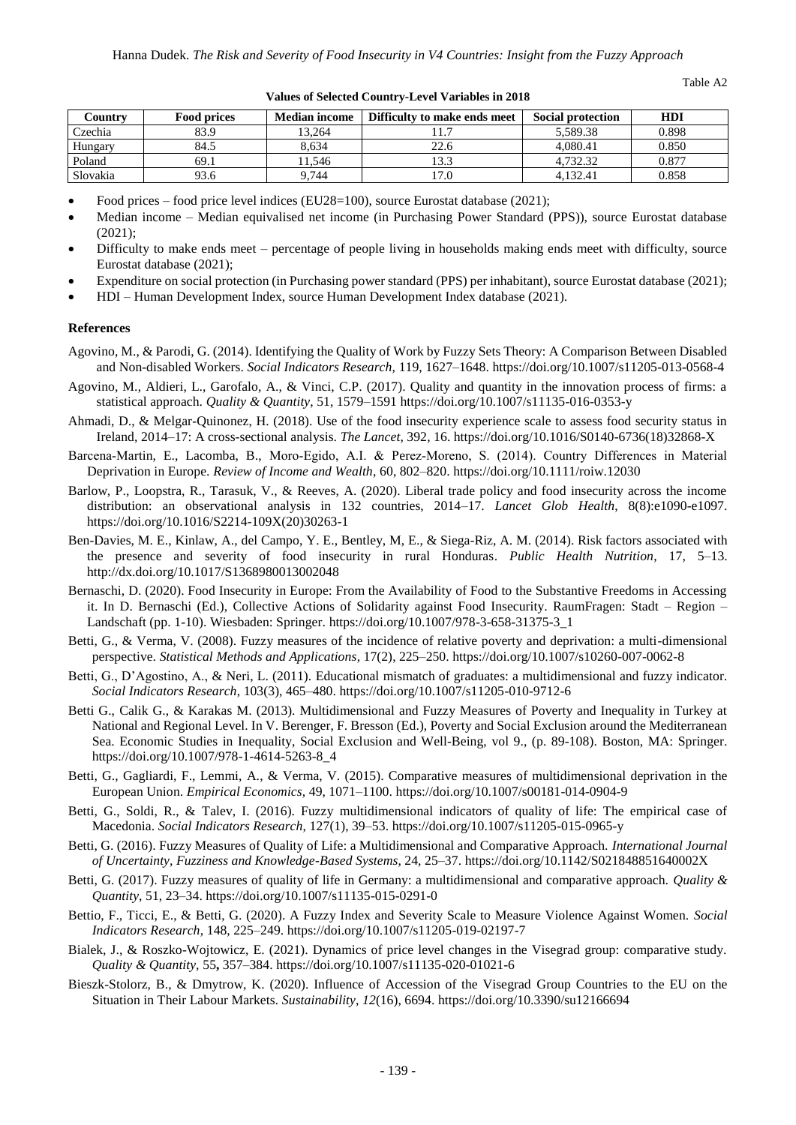Table A2

| Country  | <b>Food prices</b> | <b>Median income</b> | Difficulty to make ends meet | <b>Social protection</b> | HDI   |
|----------|--------------------|----------------------|------------------------------|--------------------------|-------|
| Czechia  | 83.9               | 13,264               |                              | 5.589.38                 | 0.898 |
| Hungary  | 84.5               | 8.634                | 22.6                         | 4.080.41                 | 0.850 |
| Poland   | 69.1               | 11.546               | 13.3                         | 4.732.32                 | 0.877 |
| Slovakia | 93.6               | 9.744                | 7.0                          | 4.132.41                 | 0.858 |

**Values of Selected Country-Level Variables in 2018**

- Food prices food price level indices (EU28=100), source Eurostat database (2021);
- Median income Median equivalised net income (in Purchasing Power Standard (PPS)), source Eurostat database (2021);
- Difficulty to make ends meet percentage of people living in households making ends meet with difficulty, source Eurostat database (2021);
- Expenditure on social protection (in Purchasing power standard (PPS) per inhabitant), source Eurostat database (2021);
- HDI Human Development Index, source Human Development Index database (2021).

#### **References**

- Agovino, M., & Parodi, G. (2014). Identifying the Quality of Work by Fuzzy Sets Theory: A Comparison Between Disabled and Non-disabled Workers. *Social Indicators Research,* 119, 1627–1648[. https://doi.org/10.1007/s11205-013-0568-4](https://doi.org/10.1007/s11205-013-0568-4)
- Agovino, M., Aldieri, L., Garofalo, A., & Vinci, C.P. (2017). Quality and quantity in the innovation process of firms: a statistical approach. *Quality & Quantity*, 51, 1579–1591<https://doi.org/10.1007/s11135-016-0353-y>
- Ahmadi, D., & Melgar-Quinonez, H. (2018). Use of the food insecurity experience scale to assess food security status in Ireland, 2014–17: A cross-sectional analysis. *The Lancet*, 392, 16. [https://doi.org/10.1016/S0140-6736\(18\)32868-X](https://doi.org/10.1016/S0140-6736(18)32868-X)
- Barcena‐Martin, E., Lacomba, B., Moro‐Egido, A.I. & Perez‐Moreno, S. (2014). Country Differences in Material Deprivation in Europe. *Review of Income and Wealth*, 60, 802–820.<https://doi.org/10.1111/roiw.12030>
- Barlow, P., Loopstra, R., Tarasuk, V., & Reeves, A. (2020). Liberal trade policy and food insecurity across the income distribution: an observational analysis in 132 countries, 2014–17. *Lancet Glob Health*, 8(8):e1090-e1097. [https://doi.org/10.1016/S2214-109X\(20\)30263-1](https://doi.org/10.1016/S2214-109X(20)30263-1)
- Ben-Davies, M. E., Kinlaw, A., del Campo, Y. E., Bentley, M, E., & Siega-Riz, A. M. (2014). Risk factors associated with the presence and severity of food insecurity in rural Honduras. *Public Health Nutrition*, 17, 5–13. <http://dx.doi.org/10.1017/S1368980013002048>
- Bernaschi, D. (2020). Food Insecurity in Europe: From the Availability of Food to the Substantive Freedoms in Accessing it. In D. Bernaschi (Ed.), Collective Actions of Solidarity against Food Insecurity. RaumFragen: Stadt – Region – Landschaft (pp. 1-10). Wiesbaden: Springer. https://doi.org/10.1007/978-3-658-31375-3\_1
- Betti, G., & Verma, V. (2008). Fuzzy measures of the incidence of relative poverty and deprivation: a multi-dimensional perspective. *Statistical Methods and Applications*, 17(2), 225–250. https://doi.org/10.1007/s10260-007-0062-8
- Betti, G., D'Agostino, A., & Neri, L. (2011). Educational mismatch of graduates: a multidimensional and fuzzy indicator. *Social Indicators Research*, 103(3), 465–480.<https://doi.org/10.1007/s11205-010-9712-6>
- Betti G., Calik G., & Karakas M. (2013). Multidimensional and Fuzzy Measures of Poverty and Inequality in Turkey at National and Regional Level. In V. Berenger, F. Bresson (Ed.), Poverty and Social Exclusion around the Mediterranean Sea. Economic Studies in Inequality, Social Exclusion and Well-Being, vol 9., (p. 89-108). Boston, MA: Springer. [https://doi.org/10.1007/978-1-4614-5263-8\\_4](https://doi.org/10.1007/978-1-4614-5263-8_4)
- Betti, G., Gagliardi, F., Lemmi, A., & Verma, V. (2015). Comparative measures of multidimensional deprivation in the European Union. *Empirical Economics*, 49, 1071–1100. https://doi.org/10.1007/s00181-014-0904-9
- Betti, G., Soldi, R., & Talev, I. (2016). Fuzzy multidimensional indicators of quality of life: The empirical case of Macedonia. *Social Indicators Research*, 127(1), 39–53.<https://doi.org/10.1007/s11205-015-0965-y>
- Betti, G. (2016). Fuzzy Measures of Quality of Life: a Multidimensional and Comparative Approach. *[International Journal](https://www.worldscientific.com/worldscinet/ijufks)  [of Uncertainty, Fuzziness and Knowledge-Based Systems](https://www.worldscientific.com/worldscinet/ijufks)*, 24, 25–37.<https://doi.org/10.1142/S021848851640002X>
- Betti, G. (2017). Fuzzy measures of quality of life in Germany: a multidimensional and comparative approach. *Quality & Quantity*, 51, 23–34.<https://doi.org/10.1007/s11135-015-0291-0>
- Bettio, F., Ticci, E., & Betti, G. (2020). A Fuzzy Index and Severity Scale to Measure Violence Against Women. *Social Indicators Research*, 148, 225–249[. https://doi.org/10.1007/s11205-019-02197-7](https://doi.org/10.1007/s11205-019-02197-7)
- Bialek, J., & Roszko-Wojtowicz, E. (2021). Dynamics of price level changes in the Visegrad group: comparative study. *Quality & Quantity,* 55**,** 357–384. https://doi.org/10.1007/s11135-020-01021-6
- Bieszk-Stolorz, B., & Dmytrow, K. (2020). Influence of Accession of the Visegrad Group Countries to the EU on the Situation in Their Labour Markets. *Sustainability*, *12*(16), 6694. https://doi.org/10.3390/su12166694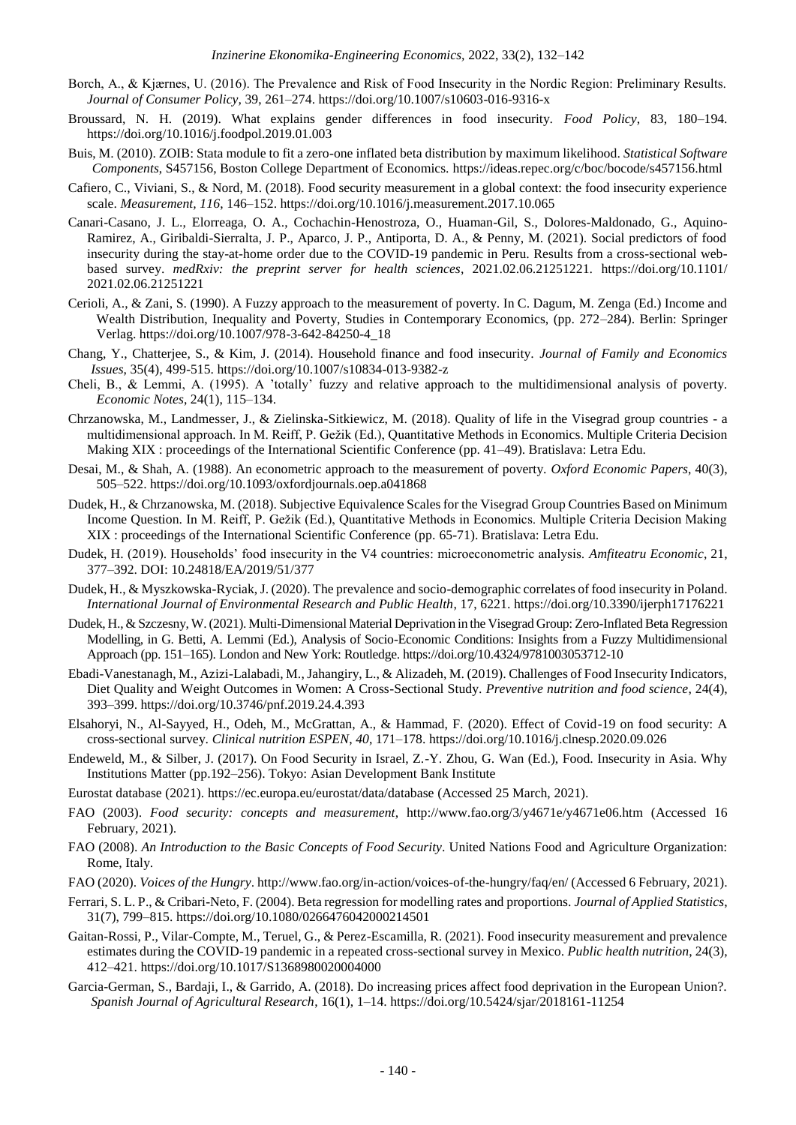- Borch, A., & Kjærnes, U. (2016). The Prevalence and Risk of Food Insecurity in the Nordic Region: Preliminary Results. *Journal of Consumer Policy,* 39, 261–274.<https://doi.org/10.1007/s10603-016-9316-x>
- Broussard, N. H. (2019). What explains gender differences in food insecurity. *Food Policy*, 83, 180–194. <https://doi.org/10.1016/j.foodpol.2019.01.003>
- Buis, M. (2010). ZOIB: Stata module to fit a zero-one inflated beta distribution by maximum likelihood. *Statistical Software Components*, S457156, Boston College Department of Economics.<https://ideas.repec.org/c/boc/bocode/s457156.html>
- Cafiero, C., Viviani, S., & Nord, M. (2018). Food security measurement in a global context: the food insecurity experience scale. *Measurement, 116*, 146–152[. https://doi.org/10.1016/j.measurement.2017.10.065](https://doi.org/10.1016/j.measurement.2017.10.065)
- Canari-Casano, J. L., Elorreaga, O. A., Cochachin-Henostroza, O., Huaman-Gil, S., Dolores-Maldonado, G., Aquino-Ramirez, A., Giribaldi-Sierralta, J. P., Aparco, J. P., Antiporta, D. A., & Penny, M. (2021). Social predictors of food insecurity during the stay-at-home order due to the COVID-19 pandemic in Peru. Results from a cross-sectional webbased survey. *medRxiv: the preprint server for health sciences*, 2021.02.06.21251221. <https://doi.org/10.1101/> 2021.02.06.21251221
- Cerioli, A., & Zani, S. (1990). A Fuzzy approach to the measurement of poverty. In C. Dagum, M. Zenga (Ed.) Income and Wealth Distribution, Inequality and Poverty, Studies in Contemporary Economics, (pp. 272–284). Berlin: Springer Verlag. https://doi.org/10.1007/978-3-642-84250-4\_18
- Chang, Y., Chatterjee, S., & Kim, J. (2014). Household finance and food insecurity. *Journal of Family and Economics Issues*, 35(4), 499-515. https://doi.org/10.1007/s10834-013-9382-z
- Cheli, B., & Lemmi, A. (1995). A 'totally' fuzzy and relative approach to the multidimensional analysis of poverty. *Economic Notes*, 24(1), 115–134.
- Chrzanowska, M., Landmesser, J., & Zielinska-Sitkiewicz, M. (2018). Quality of life in the Visegrad group countries a multidimensional approach. In M. Reiff, P. Gežik (Ed.), Quantitative Methods in Economics. Multiple Criteria Decision Making XIX : proceedings of the International Scientific Conference (pp. 41–49). Bratislava: Letra Edu.
- Desai, M., & Shah, A. (1988). An econometric approach to the measurement of poverty. *Oxford Economic Papers*, 40(3), 505–522.<https://doi.org/10.1093/oxfordjournals.oep.a041868>
- Dudek, H., & Chrzanowska, M. (2018). Subjective Equivalence Scales for the Visegrad Group Countries Based on Minimum Income Question. In M. Reiff, P. Gežik (Ed.), Quantitative Methods in Economics. Multiple Criteria Decision Making XIX : proceedings of the International Scientific Conference (pp. 65-71). Bratislava: Letra Edu.
- Dudek, H. (2019). Households' food insecurity in the V4 countries: microeconometric analysis. *Amfiteatru Economic*, 21, 377–392. DOI: 10.24818/EA/2019/51/377
- Dudek, H., & Myszkowska-Ryciak, J. (2020). The prevalence and socio-demographic correlates of food insecurity in Poland. *International Journal of Environmental Research and Public Health*, 17, 6221.<https://doi.org/10.3390/ijerph17176221>
- Dudek, H., & Szczesny, W. (2021). Multi-Dimensional Material Deprivation in the Visegrad Group: Zero-Inflated Beta Regression Modelling, in G. Betti, A. Lemmi (Ed.), Analysis of Socio-Economic Conditions: Insights from a Fuzzy Multidimensional Approach (pp. 151–165). London and New York: Routledge. https://doi.org/10.4324/9781003053712-10
- Ebadi-Vanestanagh, M., Azizi-Lalabadi, M., Jahangiry, L., & Alizadeh, M. (2019). Challenges of Food Insecurity Indicators, Diet Quality and Weight Outcomes in Women: A Cross-Sectional Study. *Preventive nutrition and food science*, 24(4), 393–399. https://doi.org/10.3746/pnf.2019.24.4.393
- Elsahoryi, N., Al-Sayyed, H., Odeh, M., McGrattan, A., & Hammad, F. (2020). Effect of Covid-19 on food security: A cross-sectional survey. *Clinical nutrition ESPEN*, *40*, 171–178. https://doi.org/10.1016/j.clnesp.2020.09.026
- Endeweld, M., & Silber, J. (2017). On Food Security in Israel, Z.-Y. Zhou, G. Wan (Ed.), Food. Insecurity in Asia. Why Institutions Matter (pp.192–256). Tokyo: Asian Development Bank Institute
- Eurostat database (2021). https://ec.europa.eu/eurostat/data/database (Accessed 25 March, 2021).
- FAO (2003). *Food security: concepts and measurement*, http://www.fao.org/3/y4671e/y4671e06.htm (Accessed 16 February, 2021).
- FAO (2008). *An Introduction to the Basic Concepts of Food Security*. United Nations Food and Agriculture Organization: Rome, Italy.
- FAO (2020). *Voices of the Hungry*[. http://www.fao.org/in-action/voices-of-the-hungry/faq/en/](http://www.fao.org/in-action/voices-of-the-hungry/faq/en/) (Accessed 6 February, 2021).
- Ferrari, S. L. P., & Cribari-Neto, F. (2004). Beta regression for modelling rates and proportions. *Journal of Applied Statistics*, 31(7), 799–815.<https://doi.org/10.1080/0266476042000214501>
- Gaitan-Rossi, P., Vilar-Compte, M., Teruel, G., & Perez-Escamilla, R. (2021). Food insecurity measurement and prevalence estimates during the COVID-19 pandemic in a repeated cross-sectional survey in Mexico. *Public health nutrition*, 24(3), 412–421. https://doi.org/10.1017/S1368980020004000
- Garcia-German, S., Bardaji, I., & Garrido, A. (2018). Do increasing prices affect food deprivation in the European Union?. *Spanish Journal of Agricultural Research*, 16(1), 1–14. <https://doi.org/10.5424/sjar/2018161-11254>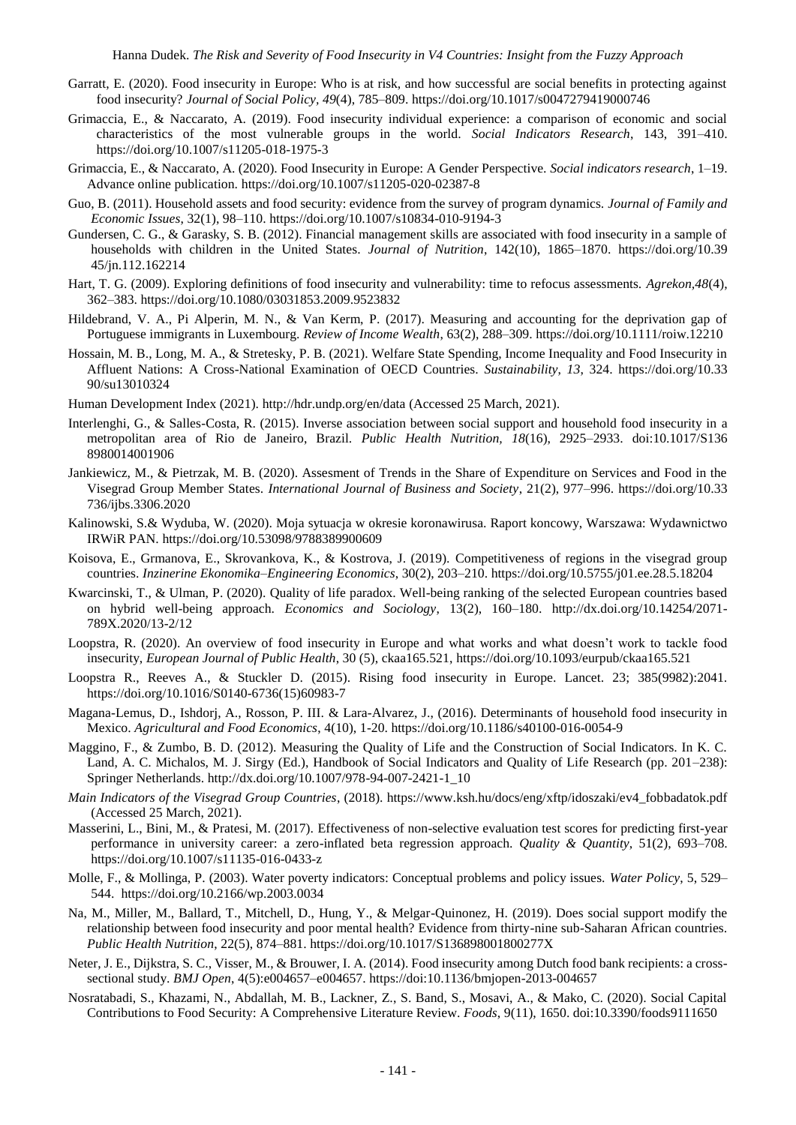- Garratt, E. (2020). Food insecurity in Europe: Who is at risk, and how successful are social benefits in protecting against food insecurity? *Journal of Social Policy, 49*(4), 785–809. https://doi.org/10.1017/s0047279419000746
- Grimaccia, E., & Naccarato, A. (2019). Food insecurity individual experience: a comparison of economic and social characteristics of the most vulnerable groups in the world. *Social Indicators Research*, 143, 391–410. <https://doi.org/10.1007/s11205-018-1975-3>
- Grimaccia, E., & Naccarato, A. (2020). Food Insecurity in Europe: A Gender Perspective. *Social indicators research*, 1–19. Advance online publication.<https://doi.org/10.1007/s11205-020-02387-8>
- Guo, B. (2011). Household assets and food security: evidence from the survey of program dynamics. *Journal of Family and Economic Issues*, 32(1), 98–110. https://doi.org/10.1007/s10834-010-9194-3
- Gundersen, C. G., & Garasky, S. B. (2012). Financial management skills are associated with food insecurity in a sample of households with children in the United States. *Journal of Nutrition*, 142(10), 1865–1870. [https://doi.org/10.39](https://doi.org/10.39%2045/jn.112.162214)  [45/jn.112.162214](https://doi.org/10.39%2045/jn.112.162214)
- Hart, T. G. (2009). Exploring definitions of food insecurity and vulnerability: time to refocus assessments. *Agrekon,48*(4), 362–383.<https://doi.org/10.1080/03031853.2009.9523832>
- Hildebrand, V. A., Pi Alperin, M. N., & Van Kerm, P. (2017). Measuring and accounting for the deprivation gap of Portuguese immigrants in Luxembourg. *Review of Income Wealth*, 63(2), 288–309[. https://doi.org/10.1111/roiw.12210](https://doi.org/10.1111/roiw.12210)
- Hossain, M. B., Long, M. A., & Stretesky, P. B. (2021). Welfare State Spending, Income Inequality and Food Insecurity in Affluent Nations: A Cross-National Examination of OECD Countries. *Sustainability*, *13*, 324. [https://doi.org/10.33](https://doi.org/10.33%2090/su13010324)  [90/su13010324](https://doi.org/10.33%2090/su13010324)
- Human Development Index (2021).<http://hdr.undp.org/en/data> (Accessed 25 March, 2021).
- Interlenghi, G., & Salles-Costa, R. (2015). Inverse association between social support and household food insecurity in a metropolitan area of Rio de Janeiro, Brazil. *Public Health Nutrition, 18*(16), 2925–2933. doi:10.1017/S136 8980014001906
- Jankiewicz, M., & Pietrzak, M. B. (2020). Assesment of Trends in the Share of Expenditure on Services and Food in the Visegrad Group Member States. *International Journal of Business and Society*, 21(2), 977–996.<https://doi.org/10.33> 736/ijbs.3306.2020
- Kalinowski, S.& Wyduba, W. (2020). Moja sytuacja w okresie koronawirusa. Raport koncowy, Warszawa: Wydawnictwo IRWiR PAN. https://doi.org/10.53098/9788389900609
- Koisova, E., Grmanova, E., Skrovankova, K., & Kostrova, J. (2019). Competitiveness of regions in the visegrad group countries. *Inzinerine Ekonomika–Engineering Economics*, 30(2), 203–210.<https://doi.org/10.5755/j01.ee.28.5.18204>
- Kwarcinski, T., & Ulman, P. (2020). Quality of life paradox. Well-being ranking of the selected European countries based on hybrid well-being approach. *Economics and Sociology*, 13(2), 160–180. [http://dx.doi.org/10.14254/2071-](http://dx.doi.org/10.14254/2071-789X.2020/13-2/12) [789X.2020/13-2/12](http://dx.doi.org/10.14254/2071-789X.2020/13-2/12)
- Loopstra, R. (2020). An overview of food insecurity in Europe and what works and what doesn't work to tackle food insecurity, *European Journal of Public Health*, 30 (5), ckaa165.521,<https://doi.org/10.1093/eurpub/ckaa165.521>
- Loopstra R., Reeves A., & Stuckler D. (2015). Rising food insecurity in Europe. Lancet. 23; 385(9982):2041. [https://doi.org/10.1016/S0140-6736\(15\)60983-7](https://doi.org/10.1016/S0140-6736(15)60983-7)
- Magana-Lemus, D., Ishdorj, A., Rosson, P. III. & Lara-Alvarez, J., (2016). Determinants of household food insecurity in Mexico. *Agricultural and Food Economics*, 4(10), 1-20[. https://doi.org/10.1186/s40100-016-0054-9](https://doi.org/10.1186/s40100-016-0054-9)
- Maggino, F., & Zumbo, B. D. (2012). Measuring the Quality of Life and the Construction of Social Indicators. In K. C. Land, A. C. Michalos, M. J. Sirgy (Ed.), Handbook of Social Indicators and Quality of Life Research (pp. 201–238): Springer Netherlands. [http://dx.doi.org/10.1007/978-94-007-2421-1\\_10](http://dx.doi.org/10.1007/978-94-007-2421-1_10)
- *Main Indicators of the Visegrad Group Countries*, (2018). [https://www.ksh.hu/docs/eng/xftp/idoszaki/ev4\\_fobbadatok.pdf](https://www.ksh.hu/docs/eng/xftp/idoszaki/ev4_fobbadatok.pdf) (Accessed 25 March, 2021).
- Masserini, L., Bini, M., & Pratesi, M. (2017). Effectiveness of non-selective evaluation test scores for predicting first-year performance in university career: a zero-inflated beta regression approach. *Quality & Quantity*, 51(2), 693–708. <https://doi.org/10.1007/s11135-016-0433-z>
- Molle, F., & Mollinga, P. (2003). Water poverty indicators: Conceptual problems and policy issues. *Water Policy*, 5, 529– 544.<https://doi.org/10.2166/wp.2003.0034>
- Na, M., Miller, M., Ballard, T., Mitchell, D., Hung, Y., & Melgar-Quinonez, H. (2019). Does social support modify the relationship between food insecurity and poor mental health? Evidence from thirty-nine sub-Saharan African countries. *Public Health Nutrition*, 22(5), 874–881.<https://doi.org/10.1017/S136898001800277X>
- Neter, J. E., Dijkstra, S. C., Visser, M., & Brouwer, I. A. (2014). Food insecurity among Dutch food bank recipients: a crosssectional study. *BMJ Open*, 4(5):e004657–e004657.<https://doi:10.1136/bmjopen-2013-004657>
- Nosratabadi, S., Khazami, N., Abdallah, M. B., Lackner, Z., S. Band, S., Mosavi, A., & Mako, C. (2020). Social Capital Contributions to Food Security: A Comprehensive Literature Review. *Foods*, 9(11), 1650. doi:10.3390/foods9111650